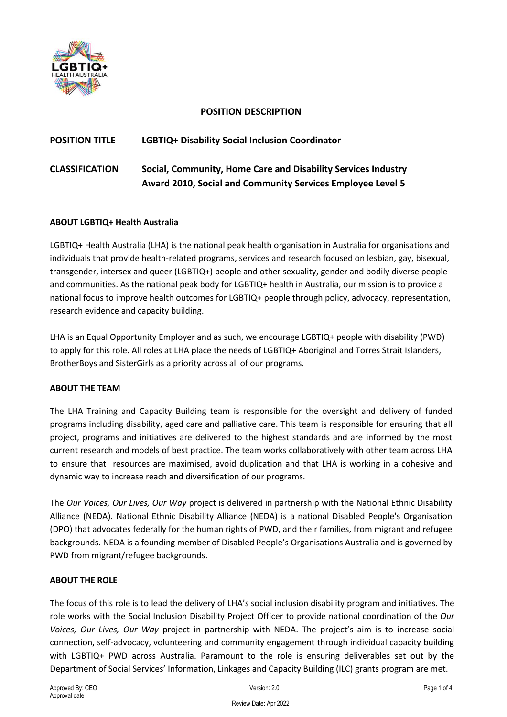

# **POSITION DESCRIPTION**

# **POSITION TITLE LGBTIQ+ Disability Social Inclusion Coordinator**

# **CLASSIFICATION Social, Community, Home Care and Disability Services Industry Award 2010, Social and Community Services Employee Level 5**

## **ABOUT LGBTIQ+ Health Australia**

LGBTIQ+ Health Australia (LHA) is the national peak health organisation in Australia for organisations and individuals that provide health-related programs, services and research focused on lesbian, gay, bisexual, transgender, intersex and queer (LGBTIQ+) people and other sexuality, gender and bodily diverse people and communities. As the national peak body for LGBTIQ+ health in Australia, our mission is to provide a national focus to improve health outcomes for LGBTIQ+ people through policy, advocacy, representation, research evidence and capacity building.

LHA is an Equal Opportunity Employer and as such, we encourage LGBTIQ+ people with disability (PWD) to apply for this role. All roles at LHA place the needs of LGBTIQ+ Aboriginal and Torres Strait Islanders, BrotherBoys and SisterGirls as a priority across all of our programs.

#### **ABOUT THE TEAM**

The LHA Training and Capacity Building team is responsible for the oversight and delivery of funded programs including disability, aged care and palliative care. This team is responsible for ensuring that all project, programs and initiatives are delivered to the highest standards and are informed by the most current research and models of best practice. The team works collaboratively with other team across LHA to ensure that resources are maximised, avoid duplication and that LHA is working in a cohesive and dynamic way to increase reach and diversification of our programs.

The *Our Voices, Our Lives, Our Way* project is delivered in partnership with the National Ethnic Disability Alliance (NEDA). National Ethnic Disability Alliance (NEDA) is a national Disabled People's Organisation (DPO) that advocates federally for the human rights of PWD, and their families, from migrant and refugee backgrounds. NEDA is a founding member of Disabled People's Organisations Australia and is governed by PWD from migrant/refugee backgrounds.

## **ABOUT THE ROLE**

The focus of this role is to lead the delivery of LHA's social inclusion disability program and initiatives. The role works with the Social Inclusion Disability Project Officer to provide national coordination of the *Our Voices, Our Lives, Our Way* project in partnership with NEDA. The project's aim is to increase social connection, self-advocacy, volunteering and community engagement through individual capacity building with LGBTIQ+ PWD across Australia. Paramount to the role is ensuring deliverables set out by the Department of Social Services' Information, Linkages and Capacity Building (ILC) grants program are met.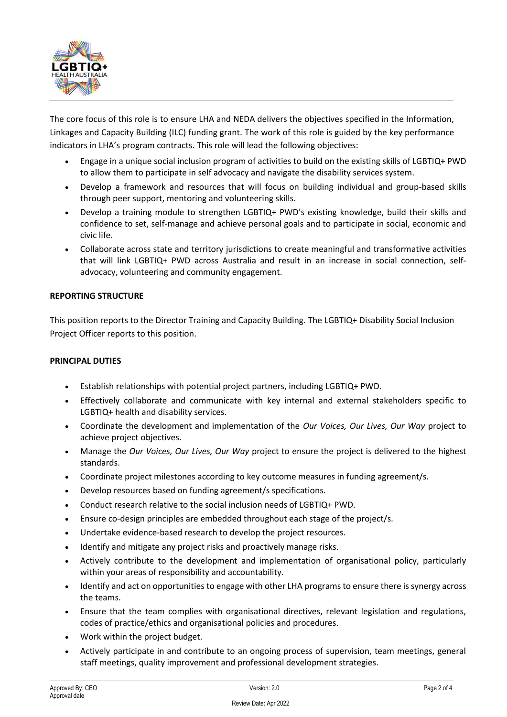

The core focus of this role is to ensure LHA and NEDA delivers the objectives specified in the Information, Linkages and Capacity Building (ILC) funding grant. The work of this role is guided by the key performance indicators in LHA's program contracts. This role will lead the following objectives:

- Engage in a unique social inclusion program of activities to build on the existing skills of LGBTIQ+ PWD to allow them to participate in self advocacy and navigate the disability services system.
- Develop a framework and resources that will focus on building individual and group-based skills through peer support, mentoring and volunteering skills.
- Develop a training module to strengthen LGBTIQ+ PWD's existing knowledge, build their skills and confidence to set, self-manage and achieve personal goals and to participate in social, economic and civic life.
- Collaborate across state and territory jurisdictions to create meaningful and transformative activities that will link LGBTIQ+ PWD across Australia and result in an increase in social connection, selfadvocacy, volunteering and community engagement.

## **REPORTING STRUCTURE**

This position reports to the Director Training and Capacity Building. The LGBTIQ+ Disability Social Inclusion Project Officer reports to this position.

## **PRINCIPAL DUTIES**

- Establish relationships with potential project partners, including LGBTIQ+ PWD.
- Effectively collaborate and communicate with key internal and external stakeholders specific to LGBTIQ+ health and disability services.
- Coordinate the development and implementation of the *Our Voices, Our Lives, Our Way* project to achieve project objectives.
- Manage the *Our Voices, Our Lives, Our Way* project to ensure the project is delivered to the highest standards.
- Coordinate project milestones according to key outcome measures in funding agreement/s.
- Develop resources based on funding agreement/s specifications.
- Conduct research relative to the social inclusion needs of LGBTIQ+ PWD.
- Ensure co-design principles are embedded throughout each stage of the project/s.
- Undertake evidence-based research to develop the project resources.
- Identify and mitigate any project risks and proactively manage risks.
- Actively contribute to the development and implementation of organisational policy, particularly within your areas of responsibility and accountability.
- Identify and act on opportunities to engage with other LHA programs to ensure there is synergy across the teams.
- Ensure that the team complies with organisational directives, relevant legislation and regulations, codes of practice/ethics and organisational policies and procedures.
- Work within the project budget.
- Actively participate in and contribute to an ongoing process of supervision, team meetings, general staff meetings, quality improvement and professional development strategies.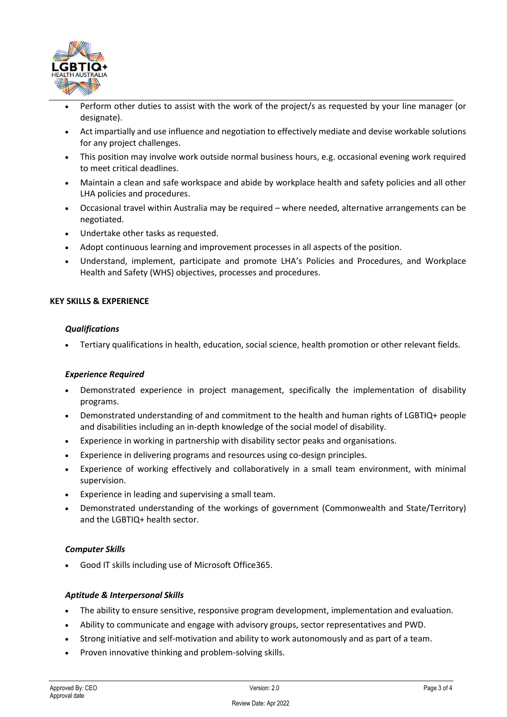

- Perform other duties to assist with the work of the project/s as requested by your line manager (or designate).
- Act impartially and use influence and negotiation to effectively mediate and devise workable solutions for any project challenges.
- This position may involve work outside normal business hours, e.g. occasional evening work required to meet critical deadlines.
- Maintain a clean and safe workspace and abide by workplace health and safety policies and all other LHA policies and procedures.
- Occasional travel within Australia may be required where needed, alternative arrangements can be negotiated.
- Undertake other tasks as requested.
- Adopt continuous learning and improvement processes in all aspects of the position.
- Understand, implement, participate and promote LHA's Policies and Procedures, and Workplace Health and Safety (WHS) objectives, processes and procedures.

## **KEY SKILLS & EXPERIENCE**

#### *Qualifications*

• Tertiary qualifications in health, education, social science, health promotion or other relevant fields.

## *Experience Required*

- Demonstrated experience in project management, specifically the implementation of disability programs.
- Demonstrated understanding of and commitment to the health and human rights of LGBTIQ+ people and disabilities including an in-depth knowledge of the social model of disability.
- Experience in working in partnership with disability sector peaks and organisations.
- Experience in delivering programs and resources using co-design principles.
- Experience of working effectively and collaboratively in a small team environment, with minimal supervision.
- Experience in leading and supervising a small team.
- Demonstrated understanding of the workings of government (Commonwealth and State/Territory) and the LGBTIQ+ health sector.

## *Computer Skills*

• Good IT skills including use of Microsoft Office365.

## *Aptitude & Interpersonal Skills*

- The ability to ensure sensitive, responsive program development, implementation and evaluation.
- Ability to communicate and engage with advisory groups, sector representatives and PWD.
- Strong initiative and self-motivation and ability to work autonomously and as part of a team.
- Proven innovative thinking and problem-solving skills.